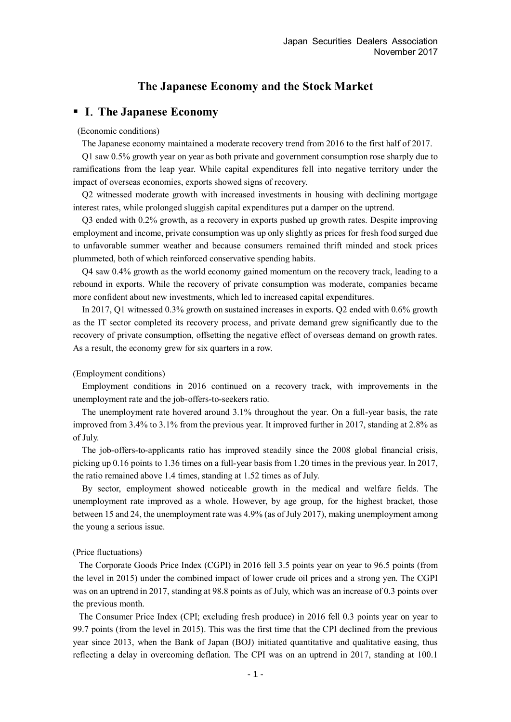# **The Japanese Economy and the Stock Market**

### **I**.**The Japanese Economy**

### (Economic conditions)

The Japanese economy maintained a moderate recovery trend from 2016 to the first half of 2017.

Q1 saw 0.5% growth year on year as both private and government consumption rose sharply due to ramifications from the leap year. While capital expenditures fell into negative territory under the impact of overseas economies, exports showed signs of recovery.

Q2 witnessed moderate growth with increased investments in housing with declining mortgage interest rates, while prolonged sluggish capital expenditures put a damper on the uptrend.

Q3 ended with 0.2% growth, as a recovery in exports pushed up growth rates. Despite improving employment and income, private consumption was up only slightly as prices for fresh food surged due to unfavorable summer weather and because consumers remained thrift minded and stock prices plummeted, both of which reinforced conservative spending habits.

Q4 saw 0.4% growth as the world economy gained momentum on the recovery track, leading to a rebound in exports. While the recovery of private consumption was moderate, companies became more confident about new investments, which led to increased capital expenditures.

In 2017, Q1 witnessed 0.3% growth on sustained increases in exports. Q2 ended with 0.6% growth as the IT sector completed its recovery process, and private demand grew significantly due to the recovery of private consumption, offsetting the negative effect of overseas demand on growth rates. As a result, the economy grew for six quarters in a row.

### (Employment conditions)

Employment conditions in 2016 continued on a recovery track, with improvements in the unemployment rate and the job-offers-to-seekers ratio.

The unemployment rate hovered around 3.1% throughout the year. On a full-year basis, the rate improved from 3.4% to 3.1% from the previous year. It improved further in 2017, standing at 2.8% as of July.

The job-offers-to-applicants ratio has improved steadily since the 2008 global financial crisis, picking up 0.16 points to 1.36 times on a full-year basis from 1.20 times in the previous year. In 2017, the ratio remained above 1.4 times, standing at 1.52 times as of July.

By sector, employment showed noticeable growth in the medical and welfare fields. The unemployment rate improved as a whole. However, by age group, for the highest bracket, those between 15 and 24, the unemployment rate was 4.9% (as of July 2017), making unemployment among the young a serious issue.

#### (Price fluctuations)

The Corporate Goods Price Index (CGPI) in 2016 fell 3.5 points year on year to 96.5 points (from the level in 2015) under the combined impact of lower crude oil prices and a strong yen. The CGPI was on an uptrend in 2017, standing at 98.8 points as of July, which was an increase of 0.3 points over the previous month.

The Consumer Price Index (CPI; excluding fresh produce) in 2016 fell 0.3 points year on year to 99.7 points (from the level in 2015). This was the first time that the CPI declined from the previous year since 2013, when the Bank of Japan (BOJ) initiated quantitative and qualitative easing, thus reflecting a delay in overcoming deflation. The CPI was on an uptrend in 2017, standing at 100.1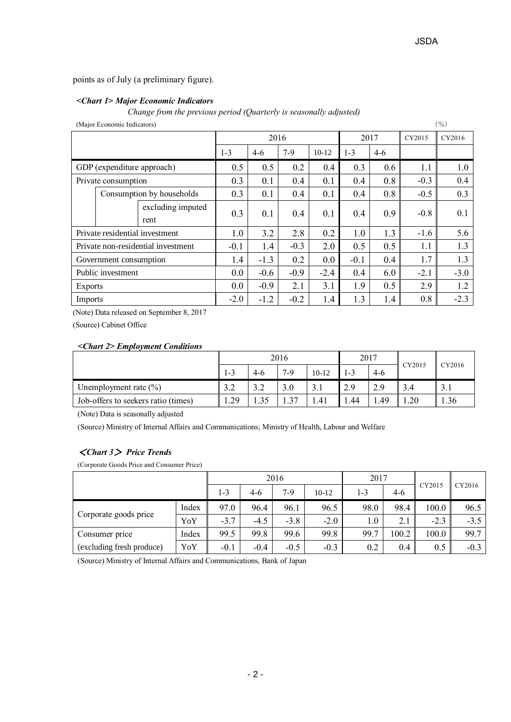points as of July (a preliminary figure).

### *<Chart 1> Major Economic Indicators*

*Change from the previous period (Quarterly is seasonally adjusted)*

| (Major Economic Indicators)        |                            |                           |        |        |         |         | (%)   |        |        |        |
|------------------------------------|----------------------------|---------------------------|--------|--------|---------|---------|-------|--------|--------|--------|
|                                    |                            |                           |        | 2016   |         |         | 2017  |        | CY2015 | CY2016 |
|                                    |                            | $1 - 3$                   | $4-6$  | $7-9$  | $10-12$ | $1 - 3$ | $4-6$ |        |        |        |
|                                    | GDP (expenditure approach) |                           | 0.5    | 0.5    | 0.2     | 0.4     | 0.3   | 0.6    | 1.1    | 1.0    |
|                                    | Private consumption        |                           | 0.3    | 0.1    | 0.4     | 0.1     | 0.4   | 0.8    | $-0.3$ | 0.4    |
|                                    |                            | Consumption by households | 0.3    | 0.1    | 0.4     | 0.1     | 0.4   | 0.8    | $-0.5$ | 0.3    |
|                                    |                            | excluding imputed<br>rent | 0.3    | 0.1    | 0.4     | 0.1     | 0.4   | 0.9    | $-0.8$ | 0.1    |
| Private residential investment     |                            | 1.0                       | 3.2    | 2.8    | 0.2     | 1.0     | 1.3   | $-1.6$ | 5.6    |        |
| Private non-residential investment |                            | $-0.1$                    | 1.4    | $-0.3$ | 2.0     | 0.5     | 0.5   | 1.1    | 1.3    |        |
| Government consumption             |                            | 1.4                       | $-1.3$ | 0.2    | 0.0     | $-0.1$  | 0.4   | 1.7    | 1.3    |        |
| Public investment                  |                            | 0.0                       | $-0.6$ | $-0.9$ | $-2.4$  | 0.4     | 6.0   | $-2.1$ | $-3.0$ |        |
| <b>Exports</b>                     |                            | 0.0                       | $-0.9$ | 2.1    | 3.1     | 1.9     | 0.5   | 2.9    | 1.2    |        |
| Imports                            |                            |                           | $-2.0$ | $-1.2$ | $-0.2$  | 1.4     | 1.3   | 1.4    | 0.8    | $-2.3$ |

(Note) Data released on September 8, 2017

(Source) Cabinet Office

### *<Chart 2> Employment Conditions*

|                                     | 2016                   |                          |               | 2017      |      | CY2015 | CY2016 |      |
|-------------------------------------|------------------------|--------------------------|---------------|-----------|------|--------|--------|------|
|                                     | 1-3                    | $4-6$                    | $7-9$         | $10 - 12$ | $-3$ | $4-6$  |        |      |
| Unemployment rate $(\%)$            | 3 <sub>2</sub><br>ے. ر | $\gamma$ $\gamma$<br>ے.د | 3.0           | 3.1       | 2.9  | 2.9    | 3.4    | 3.1  |
| Job-offers to seekers ratio (times) | .29                    |                          | $\mathcal{R}$ | 41. ،     | .44  | 1.49   | 1.20   | 1.36 |

(Note) Data is seasonally adjusted

(Source) Ministry of Internal Affairs and Communications; Ministry of Health, Labour and Welfare

### <*Chart 3*> *Price Trends*

(Corporate Goods Price and Consumer Price)

|                                  | 2016  |        |        |        | 2017    |         | CY2015 | CY2016 |        |
|----------------------------------|-------|--------|--------|--------|---------|---------|--------|--------|--------|
|                                  |       | 1-3    | 4-6    | $7-9$  | $10-12$ | $1 - 3$ | $4-6$  |        |        |
|                                  | Index | 97.0   | 96.4   | 96.1   | 96.5    | 98.0    | 98.4   | 100.0  | 96.5   |
| Corporate goods price            | YoY   | $-3.7$ | $-4.5$ | $-3.8$ | $-2.0$  | $1.0\,$ | 2.1    | $-2.3$ | $-3.5$ |
| Consumer price                   | Index | 99.5   | 99.8   | 99.6   | 99.8    | 99.7    | 100.2  | 100.0  | 99.7   |
| (excluding fresh produce)<br>YoY |       | $-0.1$ | $-0.4$ | $-0.5$ | $-0.3$  | 0.2     | 0.4    | 0.5    | $-0.3$ |

(Source) Ministry of Internal Affairs and Communications, Bank of Japan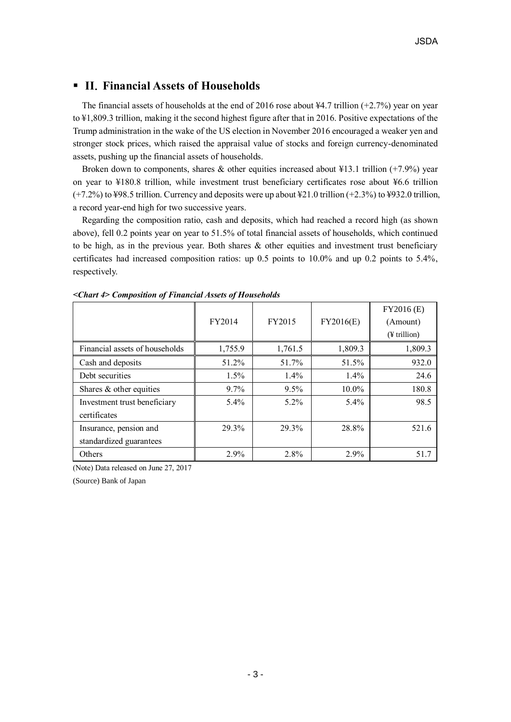# **II**.**Financial Assets of Households**

The financial assets of households at the end of 2016 rose about  $\frac{1}{4}4.7$  trillion (+2.7%) year on year to ¥1,809.3 trillion, making it the second highest figure after that in 2016. Positive expectations of the Trump administration in the wake of the US election in November 2016 encouraged a weaker yen and stronger stock prices, which raised the appraisal value of stocks and foreign currency-denominated assets, pushing up the financial assets of households.

Broken down to components, shares & other equities increased about  $\frac{13.1 \text{ trillion } (+7.9\%) \text{ year}}{25.1 \text{ ft}^{-1} \cdot 10^{-1} \text{ cm}^{-1}}$ on year to ¥180.8 trillion, while investment trust beneficiary certificates rose about ¥6.6 trillion (+7.2%) to ¥98.5 trillion. Currency and deposits were up about ¥21.0 trillion (+2.3%) to ¥932.0 trillion, a record year-end high for two successive years.

Regarding the composition ratio, cash and deposits, which had reached a record high (as shown above), fell 0.2 points year on year to 51.5% of total financial assets of households, which continued to be high, as in the previous year. Both shares & other equities and investment trust beneficiary certificates had increased composition ratios: up 0.5 points to 10.0% and up 0.2 points to 5.4%, respectively.

|                                | FY2014  | FY2015  | FY2016(E) | FY2016 (E)<br>(Amount)<br>$(F$ trillion) |
|--------------------------------|---------|---------|-----------|------------------------------------------|
| Financial assets of households | 1,755.9 | 1,761.5 | 1,809.3   | 1,809.3                                  |
| Cash and deposits              | 51.2%   | 51.7%   | 51.5%     | 932.0                                    |
| Debt securities                | $1.5\%$ | $1.4\%$ | 1.4%      | 24.6                                     |
| Shares & other equities        | $9.7\%$ | 9.5%    | 10.0%     | 180.8                                    |
| Investment trust beneficiary   | $5.4\%$ | $5.2\%$ | 5.4%      | 98.5                                     |
| certificates                   |         |         |           |                                          |
| Insurance, pension and         | 29.3%   | 29.3%   | 28.8%     | 521.6                                    |
| standardized guarantees        |         |         |           |                                          |
| Others                         | 2.9%    | 2.8%    | 2.9%      | 51.7                                     |

*<Chart 4> Composition of Financial Assets of Households*

(Note) Data released on June 27, 2017

(Source) Bank of Japan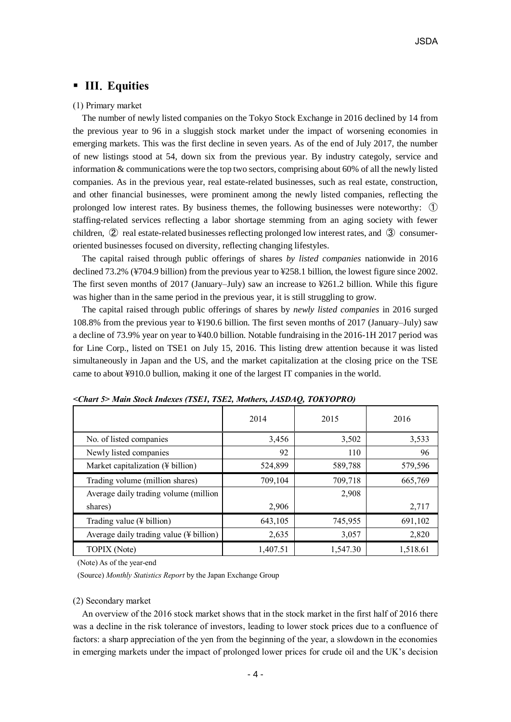# **III**.**Equities**

### (1) Primary market

The number of newly listed companies on the Tokyo Stock Exchange in 2016 declined by 14 from the previous year to 96 in a sluggish stock market under the impact of worsening economies in emerging markets. This was the first decline in seven years. As of the end of July 2017, the number of new listings stood at 54, down six from the previous year. By industry categoly, service and information & communications were the top two sectors, comprising about 60% of all the newly listed companies. As in the previous year, real estate-related businesses, such as real estate, construction, and other financial businesses, were prominent among the newly listed companies, reflecting the prolonged low interest rates. By business themes, the following businesses were noteworthy: ① staffing-related services reflecting a labor shortage stemming from an aging society with fewer children, ② real estate-related businesses reflecting prolonged low interest rates, and ③ consumeroriented businesses focused on diversity, reflecting changing lifestyles.

The capital raised through public offerings of shares *by listed companies* nationwide in 2016 declined 73.2% (¥704.9 billion) from the previous year to ¥258.1 billion, the lowest figure since 2002. The first seven months of 2017 (January–July) saw an increase to ¥261.2 billion. While this figure was higher than in the same period in the previous year, it is still struggling to grow.

The capital raised through public offerings of shares by *newly listed companies* in 2016 surged 108.8% from the previous year to ¥190.6 billion. The first seven months of 2017 (January–July) saw a decline of 73.9% year on year to ¥40.0 billion. Notable fundraising in the 2016-1H 2017 period was for Line Corp., listed on TSE1 on July 15, 2016. This listing drew attention because it was listed simultaneously in Japan and the US, and the market capitalization at the closing price on the TSE came to about ¥910.0 bullion, making it one of the largest IT companies in the world.

|                                                     | 2014     | 2015     | 2016     |
|-----------------------------------------------------|----------|----------|----------|
| No. of listed companies                             | 3,456    | 3,502    | 3,533    |
| Newly listed companies                              | 92       | 110      | 96       |
| Market capitalization (¥ billion)                   | 524,899  | 589,788  | 579,596  |
| Trading volume (million shares)                     | 709,104  | 709,718  | 665,769  |
| Average daily trading volume (million               |          | 2,908    |          |
| shares)                                             | 2,906    |          | 2,717    |
| Trading value $(\frac{1}{2}$ billion)               | 643,105  | 745,955  | 691,102  |
| Average daily trading value $(\frac{1}{2}$ billion) | 2,635    | 3,057    | 2,820    |
| TOPIX (Note)                                        | 1.407.51 | 1.547.30 | 1,518.61 |

*<Chart 5> Main Stock Indexes (TSE1, TSE2, Mothers, JASDAQ, TOKYOPRO)*

(Note) As of the year-end

(Source) *Monthly Statistics Report* by the Japan Exchange Group

#### (2) Secondary market

An overview of the 2016 stock market shows that in the stock market in the first half of 2016 there was a decline in the risk tolerance of investors, leading to lower stock prices due to a confluence of factors: a sharp appreciation of the yen from the beginning of the year, a slowdown in the economies in emerging markets under the impact of prolonged lower prices for crude oil and the UK's decision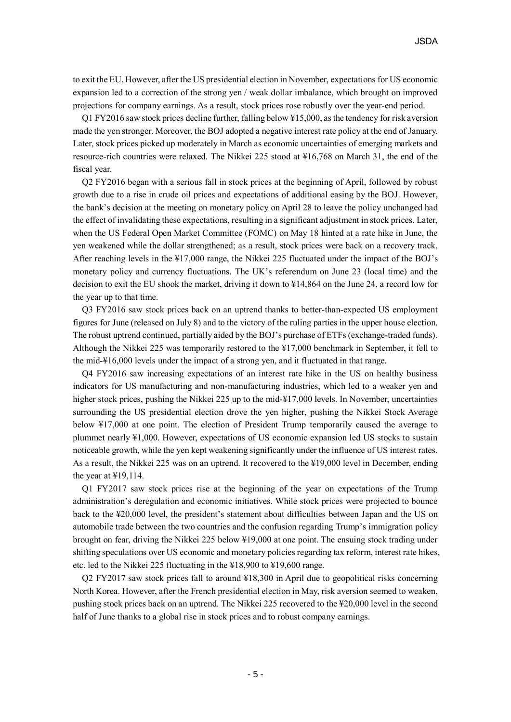to exit the EU. However, after the US presidential election in November, expectations for US economic expansion led to a correction of the strong yen / weak dollar imbalance, which brought on improved projections for company earnings. As a result, stock prices rose robustly over the year-end period.

Q1 FY2016 saw stock prices decline further, falling below ¥15,000, as the tendency for risk aversion made the yen stronger. Moreover, the BOJ adopted a negative interest rate policy at the end of January. Later, stock prices picked up moderately in March as economic uncertainties of emerging markets and resource-rich countries were relaxed. The Nikkei 225 stood at ¥16,768 on March 31, the end of the fiscal year.

Q2 FY2016 began with a serious fall in stock prices at the beginning of April, followed by robust growth due to a rise in crude oil prices and expectations of additional easing by the BOJ. However, the bank's decision at the meeting on monetary policy on April 28 to leave the policy unchanged had the effect of invalidating these expectations, resulting in a significant adjustment in stock prices. Later, when the US Federal Open Market Committee (FOMC) on May 18 hinted at a rate hike in June, the yen weakened while the dollar strengthened; as a result, stock prices were back on a recovery track. After reaching levels in the ¥17,000 range, the Nikkei 225 fluctuated under the impact of the BOJ's monetary policy and currency fluctuations. The UK's referendum on June 23 (local time) and the decision to exit the EU shook the market, driving it down to ¥14,864 on the June 24, a record low for the year up to that time.

Q3 FY2016 saw stock prices back on an uptrend thanks to better-than-expected US employment figures for June (released on July 8) and to the victory of the ruling parties in the upper house election. The robust uptrend continued, partially aided by the BOJ's purchase of ETFs (exchange-traded funds). Although the Nikkei 225 was temporarily restored to the ¥17,000 benchmark in September, it fell to the mid-¥16,000 levels under the impact of a strong yen, and it fluctuated in that range.

Q4 FY2016 saw increasing expectations of an interest rate hike in the US on healthy business indicators for US manufacturing and non-manufacturing industries, which led to a weaker yen and higher stock prices, pushing the Nikkei 225 up to the mid-¥17,000 levels. In November, uncertainties surrounding the US presidential election drove the yen higher, pushing the Nikkei Stock Average below ¥17,000 at one point. The election of President Trump temporarily caused the average to plummet nearly ¥1,000. However, expectations of US economic expansion led US stocks to sustain noticeable growth, while the yen kept weakening significantly under the influence of US interest rates. As a result, the Nikkei 225 was on an uptrend. It recovered to the ¥19,000 level in December, ending the year at ¥19,114.

Q1 FY2017 saw stock prices rise at the beginning of the year on expectations of the Trump administration's deregulation and economic initiatives. While stock prices were projected to bounce back to the ¥20,000 level, the president's statement about difficulties between Japan and the US on automobile trade between the two countries and the confusion regarding Trump's immigration policy brought on fear, driving the Nikkei 225 below ¥19,000 at one point. The ensuing stock trading under shifting speculations over US economic and monetary policies regarding tax reform, interest rate hikes, etc. led to the Nikkei 225 fluctuating in the ¥18,900 to ¥19,600 range.

Q2 FY2017 saw stock prices fall to around ¥18,300 in April due to geopolitical risks concerning North Korea. However, after the French presidential election in May, risk aversion seemed to weaken, pushing stock prices back on an uptrend. The Nikkei 225 recovered to the ¥20,000 level in the second half of June thanks to a global rise in stock prices and to robust company earnings.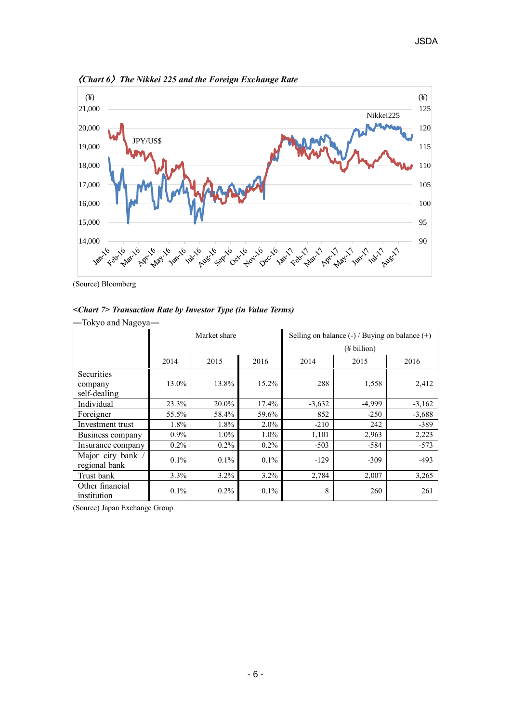

〈*Chart 6*〉*The Nikkei 225 and the Foreign Exchange Rate* 

(Source) Bloomberg

### *<Chart 7> Transaction Rate by Investor Type (in Value Terms)*

| -Tokyo and Nagoya-                           |         |              |         |                                                    |          |          |  |
|----------------------------------------------|---------|--------------|---------|----------------------------------------------------|----------|----------|--|
|                                              |         | Market share |         | Selling on balance $(-)$ / Buying on balance $(+)$ |          |          |  |
|                                              |         |              |         | $(\frac{1}{2}$ billion)                            |          |          |  |
|                                              | 2014    | 2015         | 2016    | 2014                                               | 2015     | 2016     |  |
| <b>Securities</b><br>company<br>self-dealing | 13.0%   | 13.8%        | 15.2%   | 288                                                | 1,558    | 2,412    |  |
| Individual                                   | 23.3%   | 20.0%        | 17.4%   | $-3,632$                                           | $-4,999$ | $-3,162$ |  |
| Foreigner                                    | 55.5%   | 58.4%        | 59.6%   | 852                                                | $-250$   | $-3,688$ |  |
| Investment trust                             | 1.8%    | 1.8%         | $2.0\%$ | $-210$                                             | 242      | $-389$   |  |
| Business company                             | $0.9\%$ | $1.0\%$      | $1.0\%$ | 1,101                                              | 2,963    | 2,223    |  |
| Insurance company                            | $0.2\%$ | $0.2\%$      | $0.2\%$ | $-503$                                             | $-584$   | $-573$   |  |
| Major city bank /<br>regional bank           | $0.1\%$ | $0.1\%$      | $0.1\%$ | $-129$                                             | $-309$   | $-493$   |  |
| Trust bank                                   | $3.3\%$ | $3.2\%$      | $3.2\%$ | 2,784                                              | 2,007    | 3,265    |  |
| Other financial<br>institution               | $0.1\%$ | $0.2\%$      | $0.1\%$ | 8                                                  | 260      | 261      |  |

(Source) Japan Exchange Group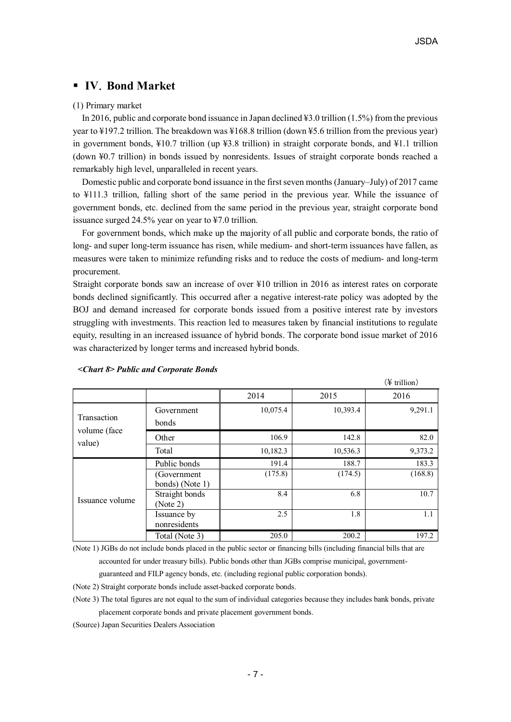# **IV**.**Bond Market**

### (1) Primary market

In 2016, public and corporate bond issuance in Japan declined ¥3.0 trillion (1.5%) from the previous year to ¥197.2 trillion. The breakdown was ¥168.8 trillion (down ¥5.6 trillion from the previous year) in government bonds, ¥10.7 trillion (up ¥3.8 trillion) in straight corporate bonds, and ¥1.1 trillion (down ¥0.7 trillion) in bonds issued by nonresidents. Issues of straight corporate bonds reached a remarkably high level, unparalleled in recent years.

Domestic public and corporate bond issuance in the first seven months (January–July) of 2017 came to ¥111.3 trillion, falling short of the same period in the previous year. While the issuance of government bonds, etc. declined from the same period in the previous year, straight corporate bond issuance surged 24.5% year on year to ¥7.0 trillion.

For government bonds, which make up the majority of all public and corporate bonds, the ratio of long- and super long-term issuance has risen, while medium- and short-term issuances have fallen, as measures were taken to minimize refunding risks and to reduce the costs of medium- and long-term procurement.

Straight corporate bonds saw an increase of over ¥10 trillion in 2016 as interest rates on corporate bonds declined significantly. This occurred after a negative interest-rate policy was adopted by the BOJ and demand increased for corporate bonds issued from a positive interest rate by investors struggling with investments. This reaction led to measures taken by financial institutions to regulate equity, resulting in an increased issuance of hybrid bonds. The corporate bond issue market of 2016 was characterized by longer terms and increased hybrid bonds.

|                             |                                                 |                  |                  | (¥ trillion)     |
|-----------------------------|-------------------------------------------------|------------------|------------------|------------------|
|                             |                                                 | 2014             | 2015             | 2016             |
| Transaction<br>volume (face | Government<br>bonds                             | 10,075.4         | 10,393.4         | 9,291.1          |
| value)                      | Other                                           | 106.9            | 142.8            | 82.0             |
|                             | Total                                           | 10,182.3         | 10,536.3         | 9,373.2          |
|                             | Public bonds<br>(Government)<br>bonds) (Note 1) | 191.4<br>(175.8) | 188.7<br>(174.5) | 183.3<br>(168.8) |
| Issuance volume             | Straight bonds<br>(Note 2)                      | 8.4              | 6.8              | 10.7             |
|                             | Issuance by<br>nonresidents                     | 2.5              | 1.8              | 1.1              |
|                             | Total (Note 3)                                  | 205.0            | 200.2            | 197.2            |

#### *<Chart 8> Public and Corporate Bonds*

(Note 1) JGBs do not include bonds placed in the public sector or financing bills (including financial bills that are accounted for under treasury bills). Public bonds other than JGBs comprise municipal, governmentguaranteed and FILP agency bonds, etc. (including regional public corporation bonds).

(Note 2) Straight corporate bonds include asset-backed corporate bonds.

(Note 3) The total figures are not equal to the sum of individual categories because they includes bank bonds, private placement corporate bonds and private placement government bonds.

(Source) Japan Securities Dealers Association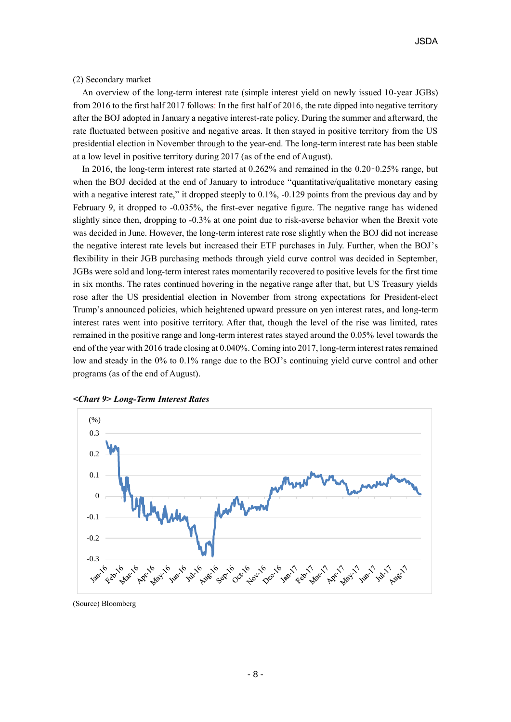(2) Secondary market

An overview of the long-term interest rate (simple interest yield on newly issued 10-year JGBs) from 2016 to the first half 2017 follows: In the first half of 2016, the rate dipped into negative territory after the BOJ adopted in January a negative interest-rate policy. During the summer and afterward, the rate fluctuated between positive and negative areas. It then stayed in positive territory from the US presidential election in November through to the year-end. The long-term interest rate has been stable at a low level in positive territory during 2017 (as of the end of August).

In 2016, the long-term interest rate started at 0.262% and remained in the 0.20–0.25% range, but when the BOJ decided at the end of January to introduce "quantitative/qualitative monetary easing with a negative interest rate," it dropped steeply to 0.1%, -0.129 points from the previous day and by February 9, it dropped to -0.035%, the first-ever negative figure. The negative range has widened slightly since then, dropping to -0.3% at one point due to risk-averse behavior when the Brexit vote was decided in June. However, the long-term interest rate rose slightly when the BOJ did not increase the negative interest rate levels but increased their ETF purchases in July. Further, when the BOJ's flexibility in their JGB purchasing methods through yield curve control was decided in September, JGBs were sold and long-term interest rates momentarily recovered to positive levels for the first time in six months. The rates continued hovering in the negative range after that, but US Treasury yields rose after the US presidential election in November from strong expectations for President-elect Trump's announced policies, which heightened upward pressure on yen interest rates, and long-term interest rates went into positive territory. After that, though the level of the rise was limited, rates remained in the positive range and long-term interest rates stayed around the 0.05% level towards the end of the year with 2016 trade closing at 0.040%. Coming into 2017, long-term interest rates remained low and steady in the 0% to 0.1% range due to the BOJ's continuing yield curve control and other programs (as of the end of August).



*<Chart 9> Long-Term Interest Rates*

(Source) Bloomberg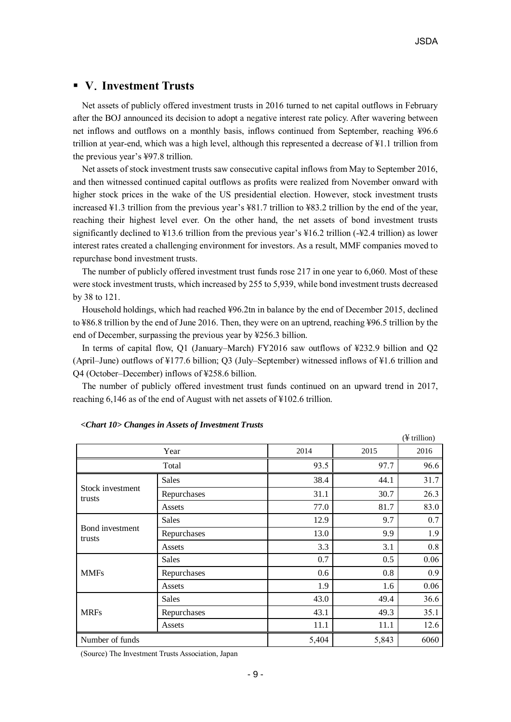## **V**.**Investment Trusts**

Net assets of publicly offered investment trusts in 2016 turned to net capital outflows in February after the BOJ announced its decision to adopt a negative interest rate policy. After wavering between net inflows and outflows on a monthly basis, inflows continued from September, reaching ¥96.6 trillion at year-end, which was a high level, although this represented a decrease of ¥1.1 trillion from the previous year's ¥97.8 trillion.

Net assets of stock investment trusts saw consecutive capital inflows from May to September 2016, and then witnessed continued capital outflows as profits were realized from November onward with higher stock prices in the wake of the US presidential election. However, stock investment trusts increased ¥1.3 trillion from the previous year's ¥81.7 trillion to ¥83.2 trillion by the end of the year, reaching their highest level ever. On the other hand, the net assets of bond investment trusts significantly declined to ¥13.6 trillion from the previous year's ¥16.2 trillion (-¥2.4 trillion) as lower interest rates created a challenging environment for investors. As a result, MMF companies moved to repurchase bond investment trusts.

The number of publicly offered investment trust funds rose 217 in one year to 6,060. Most of these were stock investment trusts, which increased by 255 to 5,939, while bond investment trusts decreased by 38 to 121.

Household holdings, which had reached ¥96.2tn in balance by the end of December 2015, declined to ¥86.8 trillion by the end of June 2016. Then, they were on an uptrend, reaching ¥96.5 trillion by the end of December, surpassing the previous year by ¥256.3 billion.

In terms of capital flow, Q1 (January–March) FY2016 saw outflows of ¥232.9 billion and Q2 (April–June) outflows of ¥177.6 billion; Q3 (July–September) witnessed inflows of ¥1.6 trillion and Q4 (October–December) inflows of ¥258.6 billion.

The number of publicly offered investment trust funds continued on an upward trend in 2017, reaching 6,146 as of the end of August with net assets of ¥102.6 trillion.

|                            |              |       |       | $(\frac{1}{2}$ trillion) |
|----------------------------|--------------|-------|-------|--------------------------|
|                            | Year         | 2014  | 2015  | 2016                     |
| Total                      |              | 93.5  | 97.7  | 96.6                     |
|                            | <b>Sales</b> | 38.4  | 44.1  | 31.7                     |
| Stock investment<br>trusts | Repurchases  | 31.1  | 30.7  | 26.3                     |
|                            | Assets       | 77.0  | 81.7  | 83.0                     |
|                            | Sales        | 12.9  | 9.7   | 0.7                      |
| Bond investment<br>trusts  | Repurchases  | 13.0  | 9.9   | 1.9                      |
|                            | Assets       | 3.3   | 3.1   | 0.8                      |
|                            | Sales        | 0.7   | 0.5   | 0.06                     |
| <b>MMFs</b>                | Repurchases  | 0.6   | 0.8   | 0.9                      |
|                            | Assets       | 1.9   | 1.6   | 0.06                     |
|                            | <b>Sales</b> | 43.0  | 49.4  | 36.6                     |
| <b>MRFs</b>                | Repurchases  | 43.1  | 49.3  | 35.1                     |
|                            | Assets       | 11.1  | 11.1  | 12.6                     |
| Number of funds            |              | 5,404 | 5,843 | 6060                     |

### *<Chart 10> Changes in Assets of Investment Trusts*

(Source) The Investment Trusts Association, Japan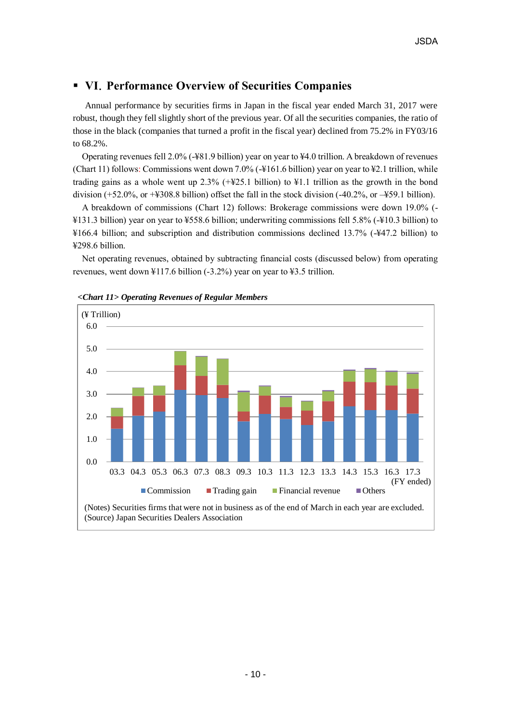# **VI**.**Performance Overview of Securities Companies**

Annual performance by securities firms in Japan in the fiscal year ended March 31, 2017 were robust, though they fell slightly short of the previous year. Of all the securities companies, the ratio of those in the black (companies that turned a profit in the fiscal year) declined from 75.2% in FY03/16 to 68.2%.

Operating revenues fell 2.0% (-¥81.9 billion) year on year to ¥4.0 trillion. A breakdown of revenues (Chart 11) follows: Commissions went down 7.0% (-¥161.6 billion) year on year to ¥2.1 trillion, while trading gains as a whole went up 2.3% (+¥25.1 billion) to ¥1.1 trillion as the growth in the bond division (+52.0%, or +¥308.8 billion) offset the fall in the stock division (-40.2%, or –¥59.1 billion).

A breakdown of commissions (Chart 12) follows: Brokerage commissions were down 19.0% (- ¥131.3 billion) year on year to ¥558.6 billion; underwriting commissions fell 5.8% (-¥10.3 billion) to ¥166.4 billion; and subscription and distribution commissions declined 13.7% (-¥47.2 billion) to ¥298.6 billion.

Net operating revenues, obtained by subtracting financial costs (discussed below) from operating revenues, went down  $\frac{117.6 \text{ billion}}{2.2\%}$  year on year to  $\frac{123.5 \text{ trillion}}{2.5 \times 10^{-10}}$ .



*<Chart 11> Operating Revenues of Regular Members*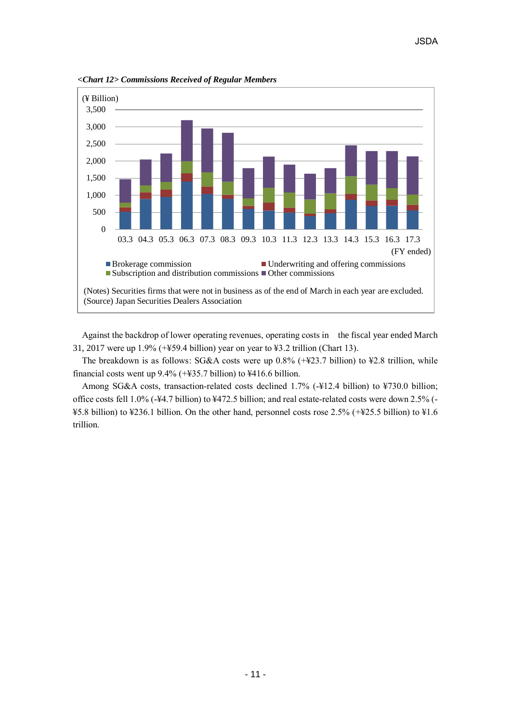

*<Chart 12> Commissions Received of Regular Members*

Against the backdrop of lower operating revenues, operating costs in the fiscal year ended March 31, 2017 were up 1.9% (+¥59.4 billion) year on year to ¥3.2 trillion (Chart 13).

The breakdown is as follows: SG&A costs were up 0.8% (+¥23.7 billion) to ¥2.8 trillion, while financial costs went up 9.4% (+¥35.7 billion) to ¥416.6 billion.

Among SG&A costs, transaction-related costs declined 1.7% (-¥12.4 billion) to ¥730.0 billion; office costs fell 1.0% (-¥4.7 billion) to ¥472.5 billion; and real estate-related costs were down 2.5% (- ¥5.8 billion) to ¥236.1 billion. On the other hand, personnel costs rose 2.5% (+¥25.5 billion) to ¥1.6 trillion.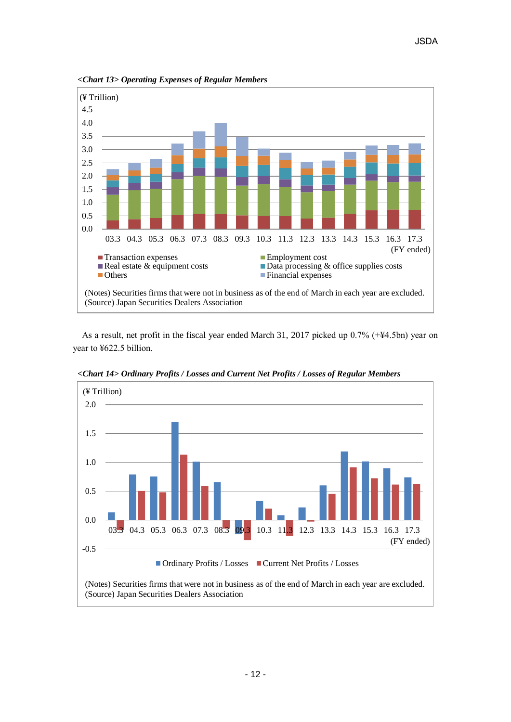

*<Chart 13> Operating Expenses of Regular Members*

As a result, net profit in the fiscal year ended March 31, 2017 picked up 0.7% (+¥4.5bn) year on year to ¥622.5 billion.



*<Chart 14> Ordinary Profits / Losses and Current Net Profits / Losses of Regular Members*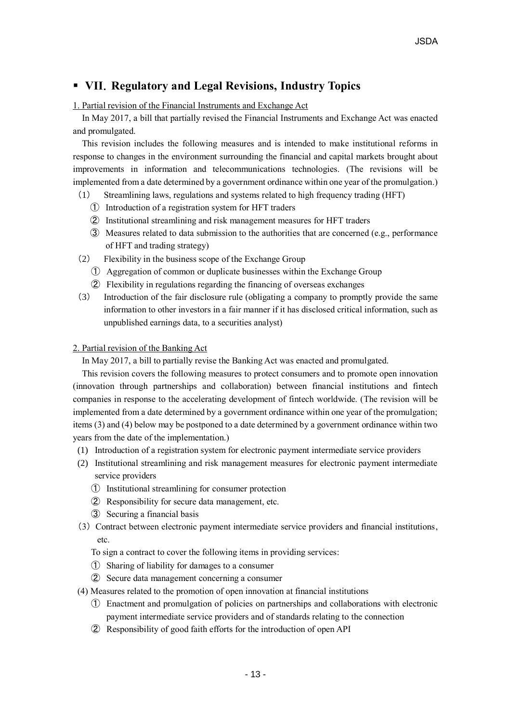# **VII**.**Regulatory and Legal Revisions, Industry Topics**

### 1. Partial revision of the Financial Instruments and Exchange Act

In May 2017, a bill that partially revised the Financial Instruments and Exchange Act was enacted and promulgated.

 This revision includes the following measures and is intended to make institutional reforms in response to changes in the environment surrounding the financial and capital markets brought about improvements in information and telecommunications technologies. (The revisions will be implemented from a date determined by a government ordinance within one year of the promulgation.)

- (1) Streamlining laws, regulations and systems related to high frequency trading (HFT)
	- ① Introduction of a registration system for HFT traders
	- ② Institutional streamlining and risk management measures for HFT traders
	- ③ Measures related to data submission to the authorities that are concerned (e.g., performance of HFT and trading strategy)
- (2) Flexibility in the business scope of the Exchange Group
	- ① Aggregation of common or duplicate businesses within the Exchange Group
	- ② Flexibility in regulations regarding the financing of overseas exchanges
- (3) Introduction of the fair disclosure rule (obligating a company to promptly provide the same information to other investors in a fair manner if it has disclosed critical information, such as unpublished earnings data, to a securities analyst)

### 2. Partial revision of the Banking Act

In May 2017, a bill to partially revise the Banking Act was enacted and promulgated.

This revision covers the following measures to protect consumers and to promote open innovation (innovation through partnerships and collaboration) between financial institutions and fintech companies in response to the accelerating development of fintech worldwide. (The revision will be implemented from a date determined by a government ordinance within one year of the promulgation; items (3) and (4) below may be postponed to a date determined by a government ordinance within two years from the date of the implementation.)

- (1) Introduction of a registration system for electronic payment intermediate service providers
- (2) Institutional streamlining and risk management measures for electronic payment intermediate service providers
	- ① Institutional streamlining for consumer protection
	- ② Responsibility for secure data management, etc.
	- ③ Securing a financial basis
- (3)Contract between electronic payment intermediate service providers and financial institutions, etc.

To sign a contract to cover the following items in providing services:

- ① Sharing of liability for damages to a consumer
- ② Secure data management concerning a consumer
- (4) Measures related to the promotion of open innovation at financial institutions
	- ① Enactment and promulgation of policies on partnerships and collaborations with electronic payment intermediate service providers and of standards relating to the connection
	- ② Responsibility of good faith efforts for the introduction of open API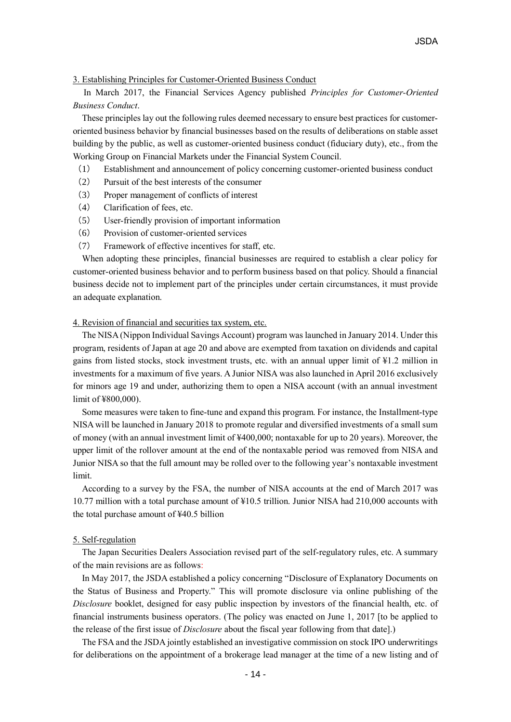### 3. Establishing Principles for Customer-Oriented Business Conduct

In March 2017, the Financial Services Agency published *Principles for Customer-Oriented Business Conduct*.

These principles lay out the following rules deemed necessary to ensure best practices for customeroriented business behavior by financial businesses based on the results of deliberations on stable asset building by the public, as well as customer-oriented business conduct (fiduciary duty), etc., from the Working Group on Financial Markets under the Financial System Council.

- (1) Establishment and announcement of policy concerning customer-oriented business conduct
- (2) Pursuit of the best interests of the consumer
- (3) Proper management of conflicts of interest
- (4) Clarification of fees, etc.
- (5) User-friendly provision of important information
- (6) Provision of customer-oriented services
- (7) Framework of effective incentives for staff, etc.

When adopting these principles, financial businesses are required to establish a clear policy for customer-oriented business behavior and to perform business based on that policy. Should a financial business decide not to implement part of the principles under certain circumstances, it must provide an adequate explanation.

### 4. Revision of financial and securities tax system, etc.

 The NISA (Nippon Individual Savings Account) program was launched in January 2014. Under this program, residents of Japan at age 20 and above are exempted from taxation on dividends and capital gains from listed stocks, stock investment trusts, etc. with an annual upper limit of ¥1.2 million in investments for a maximum of five years. A Junior NISA was also launched in April 2016 exclusively for minors age 19 and under, authorizing them to open a NISA account (with an annual investment limit of ¥800,000).

Some measures were taken to fine-tune and expand this program. For instance, the Installment-type NISA will be launched in January 2018 to promote regular and diversified investments of a small sum of money (with an annual investment limit of ¥400,000; nontaxable for up to 20 years). Moreover, the upper limit of the rollover amount at the end of the nontaxable period was removed from NISA and Junior NISA so that the full amount may be rolled over to the following year's nontaxable investment limit.

According to a survey by the FSA, the number of NISA accounts at the end of March 2017 was 10.77 million with a total purchase amount of ¥10.5 trillion. Junior NISA had 210,000 accounts with the total purchase amount of ¥40.5 billion

#### 5. Self-regulation

The Japan Securities Dealers Association revised part of the self-regulatory rules, etc. A summary of the main revisions are as follows:

In May 2017, the JSDA established a policy concerning "Disclosure of Explanatory Documents on the Status of Business and Property." This will promote disclosure via online publishing of the *Disclosure* booklet, designed for easy public inspection by investors of the financial health, etc. of financial instruments business operators. (The policy was enacted on June 1, 2017 [to be applied to the release of the first issue of *Disclosure* about the fiscal year following from that date].)

 The FSA and the JSDA jointly established an investigative commission on stock IPO underwritings for deliberations on the appointment of a brokerage lead manager at the time of a new listing and of